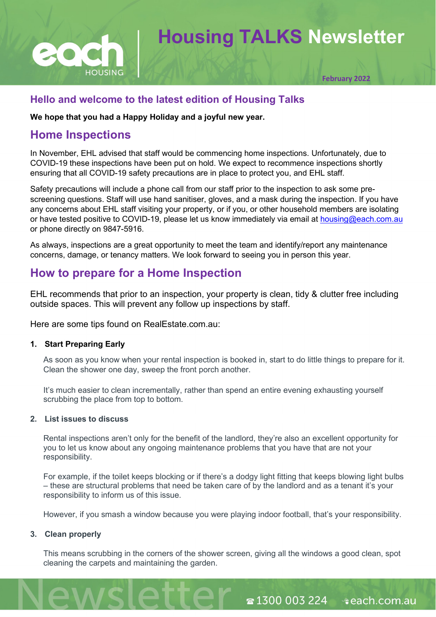

# **Housing TALKS Newsletter**

**February 2022**

### **Hello and welcome to the latest edition of Housing Talks**

**We hope that you had a Happy Holiday and a joyful new year.** 

## **Home Inspections**

In November, EHL advised that staff would be commencing home inspections. Unfortunately, due to COVID-19 these inspections have been put on hold. We expect to recommence inspections shortly ensuring that all COVID-19 safety precautions are in place to protect you, and EHL staff.

Safety precautions will include a phone call from our staff prior to the inspection to ask some prescreening questions. Staff will use hand sanitiser, gloves, and a mask during the inspection. If you have any concerns about EHL staff visiting your property, or if you, or other household members are isolating or have tested positive to COVID-19, please let us know immediately via email at [housing@each.com.au](mailto:housing@each.com.au) or phone directly on 9847-5916.

As always, inspections are a great opportunity to meet the team and identify/report any maintenance concerns, damage, or tenancy matters. We look forward to seeing you in person this year.

# **How to prepare for a Home Inspection**

EHL recommends that prior to an inspection, your property is clean, tidy & clutter free including outside spaces. This will prevent any follow up inspections by staff.

Here are some tips found on RealEstate.com.au:

#### **1. Start Preparing Early**

As soon as you know when your rental inspection is booked in, start to do little things to prepare for it. Clean the shower one day, sweep the front porch another.

It's much easier to clean incrementally, rather than spend an entire evening exhausting yourself scrubbing the place from top to bottom.

#### **2. List issues to discuss**

Rental inspections aren't only for the benefit of the landlord, they're also an excellent opportunity for you to let us know about any ongoing maintenance problems that you have that are not your responsibility.

For example, if the toilet keeps blocking or if there's a dodgy light fitting that keeps blowing light bulbs – these are structural problems that need be taken care of by the landlord and as a tenant it's your responsibility to inform us of this issue.

However, if you smash a window because you were playing indoor football, that's your responsibility.

#### **3. Clean properly**

This means scrubbing in the corners of the shower screen, giving all the windows a good clean, spot cleaning the carpets and maintaining the garden.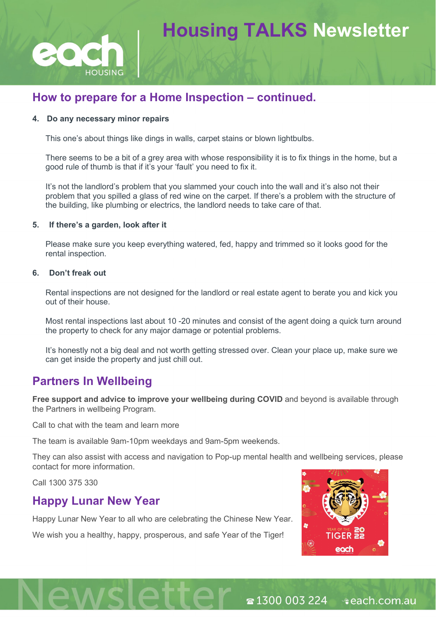

# **Housing TALKS Newsletter**

# How to prepare for a Home Inspection – continued.

#### **4. Do any necessary minor repairs**

This one's about things like dings in walls, carpet stains or blown lightbulbs.

There seems to be a bit of a grey area with whose responsibility it is to fix things in the home, but a good rule of thumb is that if it's your 'fault' you need to fix it.

It's not the landlord's problem that you slammed your couch into the wall and it's also not their problem that you spilled a glass of red wine on the carpet. If there's a problem with the structure of the building, like plumbing or electrics, the landlord needs to take care of that.

#### **5. If there's a garden, look after it**

Please make sure you keep everything watered, fed, happy and trimmed so it looks good for the rental inspection.

#### **6. Don't freak out**

Rental inspections are not designed for the landlord or real estate agent to berate you and kick you out of their house.

Most rental inspections last about 10 -20 minutes and consist of the agent doing a quick turn around the property to check for any major damage or potential problems.

It's honestly not a big deal and not worth getting stressed over. Clean your place up, make sure we can get inside the property and just chill out.

## **Partners In Wellbeing**

**Free support and advice to improve your wellbeing during COVID** and beyond is available through the Partners in wellbeing Program.

Call to chat with the team and learn more

The team is available 9am-10pm weekdays and 9am-5pm weekends.

They can also assist with access and navigation to Pop-up mental health and wellbeing services, please contact for more information.

Call 1300 375 330

## **Happy Lunar New Year**

Happy Lunar New Year to all who are celebrating the Chinese New Year.

We wish you a healthy, happy, prosperous, and safe Year of the Tiger!

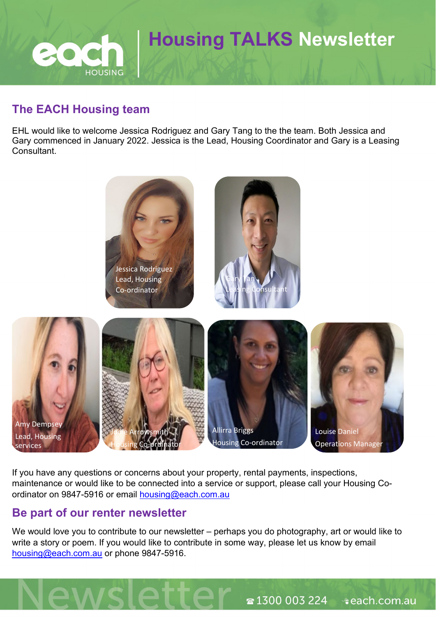# **Housing TALKS Newsletter HOUSING**

# **The EACH Housing team**

EHL would like to welcome Jessica Rodriguez and Gary Tang to the the team. Both Jessica and Gary commenced in January 2022. Jessica is the Lead, Housing Coordinator and Gary is a Leasing Consultant.



If you have any questions or concerns about your property, rental payments, inspections, maintenance or would like to be connected into a service or support, please call your Housing Coordinator on 9847-5916 or email [housing@each.com.au](mailto:housing@each.com.au)

# **Be part of our renter newsletter**

We would love you to contribute to our newsletter – perhaps you do photography, art or would like to write a story or poem. If you would like to contribute in some way, please let us know by email [housing@each.com.au](mailto:housing@each.com.au) or phone 9847-5916.